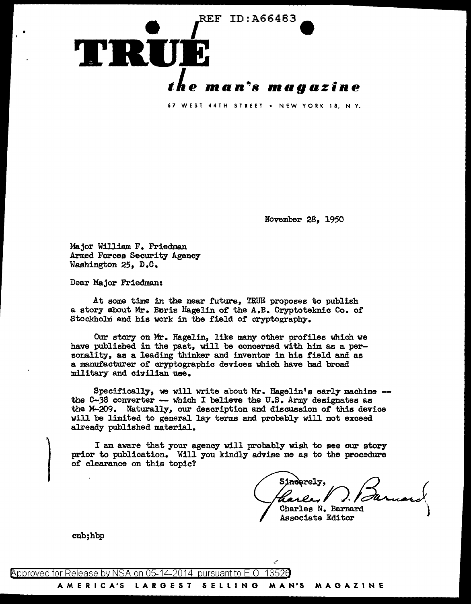

November 28, 1950

Major William F. Friedman Armed Forces Security Agency Washington 25, D.C.

Dear Major Friedman:

•

At some time in the near future, TRUE proposes to publish a story about Mr. Baris Hagelin of the A.B. Cryptoteknic Co. of Stockholm and his work in the field of cryptography.

Our story on Mr. Hagelin, like many other profiles which we have published in the past, will be concerned with him as a personality, as a leading thinker and inventor in his field and as a manufacturer or cryptographic devices which have had broad military and civilian use.

Specifically, we will write about Mr. Hagelin's early machine  $-$  the C-38 converter - which I believe the U.S. Army designates as the M-209. Naturally, our description and discussion or this device will be limited to general lay terms and probably will not exceed already published material.

I am aware that your agency will probably wish to see our story prior to publication. Will you kindly advise me as to the procedure or clearance on this topic?

rely,  $\mathcal{Q}$  ( Sinderely,<br>Charles D. Barnard

Charles N. Barnard Associate Editor )

cnb;hbp

@'pproved for Release by NSA on 05-14-2014 pursuantto E.O. 1352a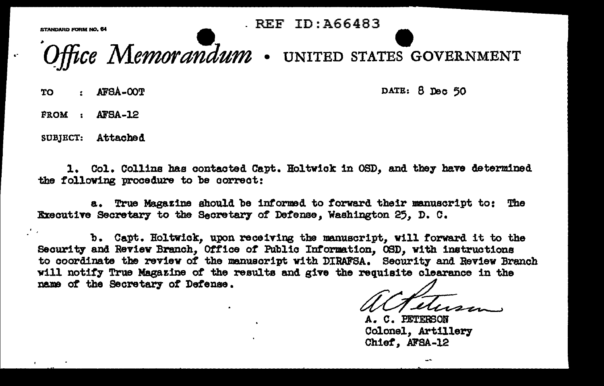STANDARD FORM NO. 64

**REF ID: A66483** 

Office Memorandum . UNITED STATES GOVERNMENT

AFSA-OOT TO.

DATE: 8 Dec 50

FROM : AFSA-12

SUBJECT: Attached

1. Col. Collins has contacted Capt. Holtwick in OSD, and they have determined the following procedure to be correct:

a. True Magazine should be informed to forward their manuscript to: The Executive Secretary to the Secretary of Defense, Washington 25. D. C.

b. Capt. Holtwick, upon receiving the manuscript, will forward it to the Security and Review Branch, Office of Public Information, OSD, with instructions to coordinate the review of the manuscript with DIRAFSA. Security and Review Branch will notify True Magazine of the results and give the requisite clearance in the name of the Secretary of Defense.

**C. PETERSON** Colonel, Artillery Chief, AFSA-12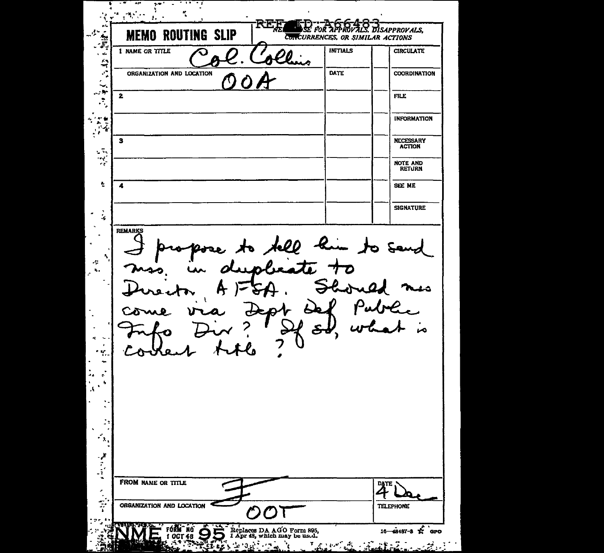**A-F-1. POLITIMG SLIP** REE SE POR APPROVALS, **MEMO ROUTING SLIP CONTROLLAR ACTIONS** ' -... ..,.. . ,. ... . NEMO ROUTING SLIP REEL TO A PROVALS DISAPPROVALS, **EXECUTE ORGANIZATION AND LOCATION** () O A ,. COORDINATION •• ;:: -2------------"~--=-~=------1-----1 .<br>.<br>. FILE  $\cdot$ INFORMATION 3 NECESSARY ACTION ··~- ,, 1----------------------1-----  $\frac{1}{2}$ NOTE AND<br>RETURN  $\mathbf{r}_i$ 4 SEE ME SIGNATURE  $\frac{1}{2}$  $\bullet$  $\sim$ **REMARKS**  $\overline{\phantom{a}}$  $\bullet$ ٩  $\mathcal{A}$  $\mathbf{z}_\bullet$  $\mathbf{r}$  $\hat{\mathbf{r}}$  $\lambda$ ਣ  $\cdot$  $\overline{\mathcal{L}}$ ÷  $\mathbf{q}$ ×, ٠Y.  $\ddot{\phantom{1}}$ ÷.  $\sim$ ъ, Ã. ÷.  $\mathbf{r}$  $\frac{1}{2}$ FROM NAME OR TITLE  $\overline{A^{\text{BPE}}}\$  $\frac{1}{\frac{1}{\frac{1}{\sqrt{1-\frac{1}{\sqrt{1-\frac{1}{\sqrt{1-\frac{1}{\sqrt{1-\frac{1}{\sqrt{1-\frac{1}{\sqrt{1-\frac{1}{\sqrt{1-\frac{1}{\sqrt{1-\frac{1}{\sqrt{1-\frac{1}{\sqrt{1-\frac{1}{\sqrt{1-\frac{1}{\sqrt{1-\frac{1}{\sqrt{1-\frac{1}{\sqrt{1-\frac{1}{\sqrt{1-\frac{1}{\sqrt{1-\frac{1}{\sqrt{1-\frac{1}{\sqrt{1-\frac{1}{\sqrt{1-\frac{1}{\sqrt{1-\frac{1}{\sqrt{1-\frac{1}{\sqrt{1-\frac{1}{\sqrt{1-\frac{$ Replaces DA AGO Form 895, **FORM NO**<br>1 OCT 48  $\ddot{\mathbf{S}}$  $\frac{16}{48487-8}$   $\frac{16}{16}$   $\frac{16}{48487-8}$   $\frac{1}{16}$   $\frac{1}{16}$ يهادين فيهودين  $\mathcal{L}_{\mathbf{r}}$ في والتوسير  $\mathcal{L}$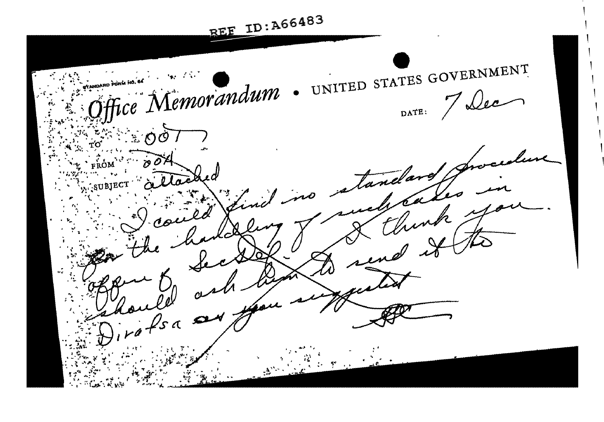REE ID: A66483 Fice Memorandum . UNITED STATES GOVERNMENT **TANDARD FORM** DATE: 7 Dec andar  $\sqrt{3}a$